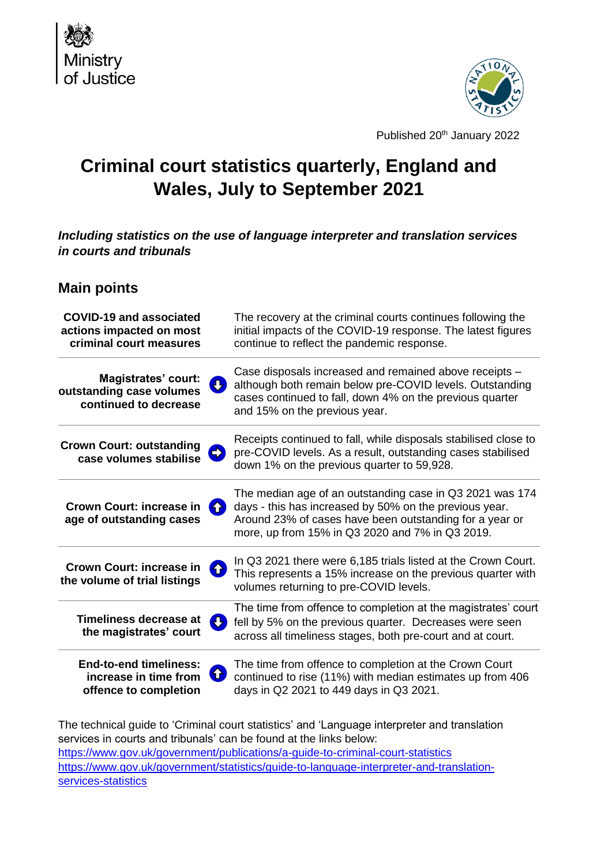



Published 20<sup>th</sup> January 2022

# **Criminal court statistics quarterly, England and Wales, July to September 2021**

*Including statistics on the use of language interpreter and translation services in courts and tribunals*

# **Main points**

| <b>COVID-19 and associated</b>                                                               | The recovery at the criminal courts continues following the                                                                                                                                                                      |
|----------------------------------------------------------------------------------------------|----------------------------------------------------------------------------------------------------------------------------------------------------------------------------------------------------------------------------------|
| actions impacted on most                                                                     | initial impacts of the COVID-19 response. The latest figures                                                                                                                                                                     |
| criminal court measures                                                                      | continue to reflect the pandemic response.                                                                                                                                                                                       |
| <b>Magistrates' court:</b>                                                                   | Case disposals increased and remained above receipts -                                                                                                                                                                           |
| <b>J</b>                                                                                     | although both remain below pre-COVID levels. Outstanding                                                                                                                                                                         |
| outstanding case volumes                                                                     | cases continued to fall, down 4% on the previous quarter                                                                                                                                                                         |
| continued to decrease                                                                        | and 15% on the previous year.                                                                                                                                                                                                    |
| <b>Crown Court: outstanding</b>                                                              | Receipts continued to fall, while disposals stabilised close to                                                                                                                                                                  |
| $\Rightarrow$                                                                                | pre-COVID levels. As a result, outstanding cases stabilised                                                                                                                                                                      |
| case volumes stabilise                                                                       | down 1% on the previous quarter to 59,928.                                                                                                                                                                                       |
| <b>Crown Court: increase in</b><br>$\blacktriangle$<br>age of outstanding cases              | The median age of an outstanding case in Q3 2021 was 174<br>days - this has increased by 50% on the previous year.<br>Around 23% of cases have been outstanding for a year or<br>more, up from 15% in Q3 2020 and 7% in Q3 2019. |
| <b>Crown Court: increase in</b>                                                              | In Q3 2021 there were 6,185 trials listed at the Crown Court.                                                                                                                                                                    |
| $\bigoplus$                                                                                  | This represents a 15% increase on the previous quarter with                                                                                                                                                                      |
| the volume of trial listings                                                                 | volumes returning to pre-COVID levels.                                                                                                                                                                                           |
| <b>Timeliness decrease at</b><br>the magistrates' court                                      | The time from offence to completion at the magistrates' court<br>fell by 5% on the previous quarter. Decreases were seen<br>across all timeliness stages, both pre-court and at court.                                           |
| <b>End-to-end timeliness:</b><br>$\bullet$<br>increase in time from<br>offence to completion | The time from offence to completion at the Crown Court<br>continued to rise (11%) with median estimates up from 406<br>days in Q2 2021 to 449 days in Q3 2021.                                                                   |

The technical guide to 'Criminal court statistics' and 'Language interpreter and translation services in courts and tribunals' can be found at the links below: <https://www.gov.uk/government/publications/a-guide-to-criminal-court-statistics> [https://www.gov.uk/government/statistics/guide-to-language-interpreter-and-translation](https://www.gov.uk/government/statistics/guide-to-language-interpreter-and-translation-services-statistics)[services-statistics](https://www.gov.uk/government/statistics/guide-to-language-interpreter-and-translation-services-statistics)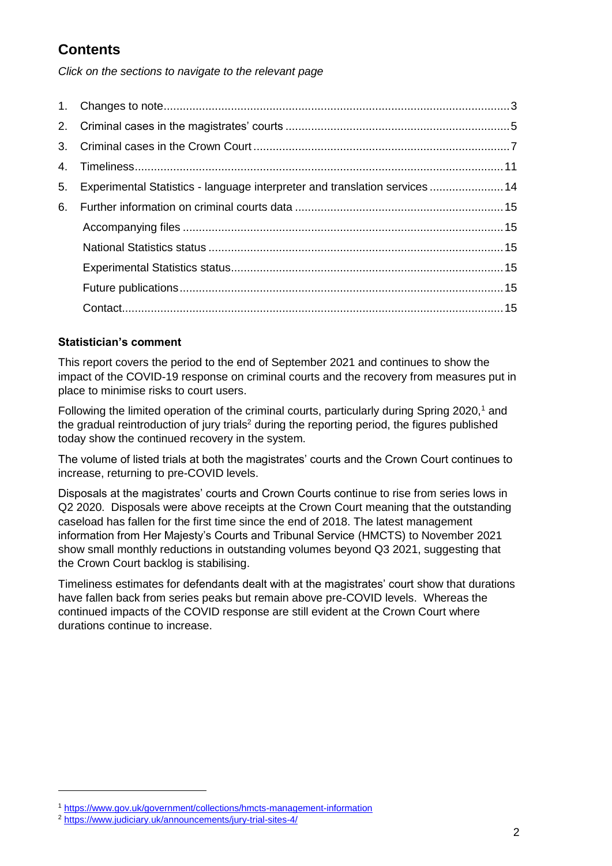# **Contents**

*Click on the sections to navigate to the relevant page*

| $1_{\cdot}$    |                                                                             |  |
|----------------|-----------------------------------------------------------------------------|--|
| 2.             |                                                                             |  |
| 3 <sub>1</sub> |                                                                             |  |
| 4.             |                                                                             |  |
| 5.             | Experimental Statistics - language interpreter and translation services  14 |  |
| 6.             |                                                                             |  |
|                |                                                                             |  |
|                |                                                                             |  |
|                |                                                                             |  |
|                |                                                                             |  |
|                |                                                                             |  |

# **Statistician's comment**

This report covers the period to the end of September 2021 and continues to show the impact of the COVID-19 response on criminal courts and the recovery from measures put in place to minimise risks to court users.

Following the limited operation of the criminal courts, particularly during Spring 2020,<sup>1</sup> and the gradual reintroduction of jury trials<sup>2</sup> during the reporting period, the figures published today show the continued recovery in the system.

The volume of listed trials at both the magistrates' courts and the Crown Court continues to increase, returning to pre-COVID levels.

Disposals at the magistrates' courts and Crown Courts continue to rise from series lows in Q2 2020. Disposals were above receipts at the Crown Court meaning that the outstanding caseload has fallen for the first time since the end of 2018. The latest management information from Her Majesty's Courts and Tribunal Service (HMCTS) to November 2021 show small monthly reductions in outstanding volumes beyond Q3 2021, suggesting that the Crown Court backlog is stabilising.

Timeliness estimates for defendants dealt with at the magistrates' court show that durations have fallen back from series peaks but remain above pre-COVID levels. Whereas the continued impacts of the COVID response are still evident at the Crown Court where durations continue to increase.

-

<sup>1</sup> <https://www.gov.uk/government/collections/hmcts-management-information>

<sup>2</sup> <https://www.judiciary.uk/announcements/jury-trial-sites-4/>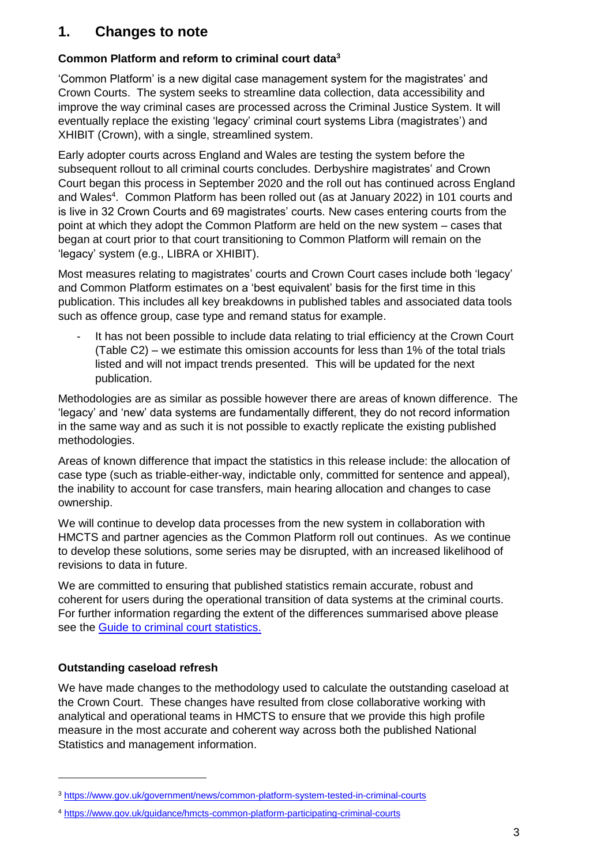# <span id="page-2-0"></span>**1. Changes to note**

# **Common Platform and reform to criminal court data<sup>3</sup>**

'Common Platform' is a new digital case management system for the magistrates' and Crown Courts. The system seeks to streamline data collection, data accessibility and improve the way criminal cases are processed across the Criminal Justice System. It will eventually replace the existing 'legacy' criminal court systems Libra (magistrates') and XHIBIT (Crown), with a single, streamlined system.

Early adopter courts across England and Wales are testing the system before the subsequent rollout to all criminal courts concludes. Derbyshire magistrates' and Crown Court began this process in September 2020 and the roll out has continued across England and Wales<sup>4</sup>. Common Platform has been rolled out (as at January 2022) in 101 courts and is live in 32 Crown Courts and 69 magistrates' courts. New cases entering courts from the point at which they adopt the Common Platform are held on the new system – cases that began at court prior to that court transitioning to Common Platform will remain on the 'legacy' system (e.g., LIBRA or XHIBIT).

Most measures relating to magistrates' courts and Crown Court cases include both 'legacy' and Common Platform estimates on a 'best equivalent' basis for the first time in this publication. This includes all key breakdowns in published tables and associated data tools such as offence group, case type and remand status for example.

It has not been possible to include data relating to trial efficiency at the Crown Court (Table C2) – we estimate this omission accounts for less than 1% of the total trials listed and will not impact trends presented. This will be updated for the next publication.

Methodologies are as similar as possible however there are areas of known difference. The 'legacy' and 'new' data systems are fundamentally different, they do not record information in the same way and as such it is not possible to exactly replicate the existing published methodologies.

Areas of known difference that impact the statistics in this release include: the allocation of case type (such as triable-either-way, indictable only, committed for sentence and appeal), the inability to account for case transfers, main hearing allocation and changes to case ownership.

We will continue to develop data processes from the new system in collaboration with HMCTS and partner agencies as the Common Platform roll out continues. As we continue to develop these solutions, some series may be disrupted, with an increased likelihood of revisions to data in future.

We are committed to ensuring that published statistics remain accurate, robust and coherent for users during the operational transition of data systems at the criminal courts. For further information regarding the extent of the differences summarised above please see the [Guide to criminal court statistics.](https://www.gov.uk/government/publications/a-guide-to-criminal-court-statistics)

# **Outstanding caseload refresh**

-

We have made changes to the methodology used to calculate the outstanding caseload at the Crown Court. These changes have resulted from close collaborative working with analytical and operational teams in HMCTS to ensure that we provide this high profile measure in the most accurate and coherent way across both the published National Statistics and management information.

<sup>3</sup> <https://www.gov.uk/government/news/common-platform-system-tested-in-criminal-courts>

<sup>4</sup> <https://www.gov.uk/guidance/hmcts-common-platform-participating-criminal-courts>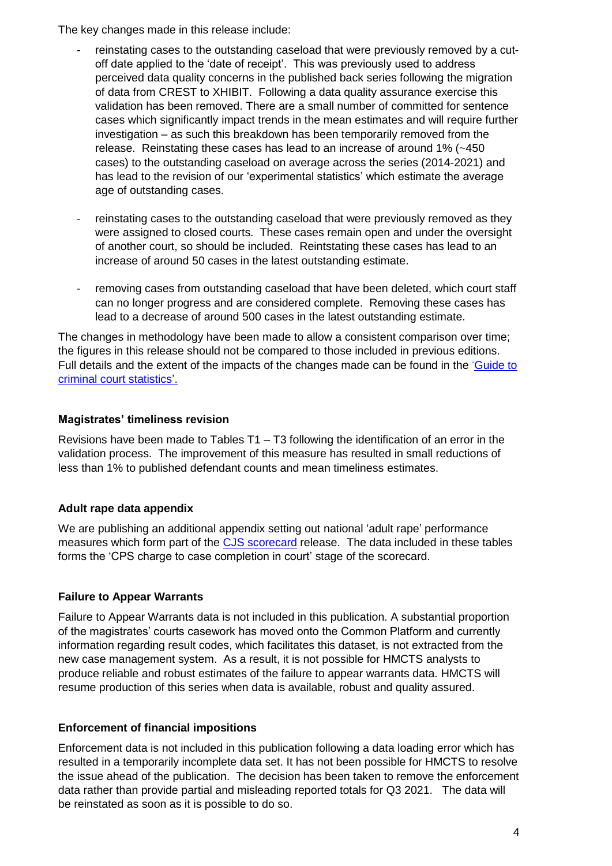The key changes made in this release include:

- reinstating cases to the outstanding caseload that were previously removed by a cutoff date applied to the 'date of receipt'. This was previously used to address perceived data quality concerns in the published back series following the migration of data from CREST to XHIBIT. Following a data quality assurance exercise this validation has been removed. There are a small number of committed for sentence cases which significantly impact trends in the mean estimates and will require further investigation – as such this breakdown has been temporarily removed from the release. Reinstating these cases has lead to an increase of around 1% (~450 cases) to the outstanding caseload on average across the series (2014-2021) and has lead to the revision of our 'experimental statistics' which estimate the average age of outstanding cases.
- reinstating cases to the outstanding caseload that were previously removed as they were assigned to closed courts. These cases remain open and under the oversight of another court, so should be included. Reintstating these cases has lead to an increase of around 50 cases in the latest outstanding estimate.
- removing cases from outstanding caseload that have been deleted, which court staff can no longer progress and are considered complete. Removing these cases has lead to a decrease of around 500 cases in the latest outstanding estimate.

The changes in methodology have been made to allow a consistent comparison over time; the figures in this release should not be compared to those included in previous editions. Full details and the extent of the impacts of the changes made can be found in the ['Guide to](https://www.gov.uk/government/publications/a-guide-to-criminal-court-statistics)  [criminal court statistics'.](https://www.gov.uk/government/publications/a-guide-to-criminal-court-statistics)

#### **Magistrates' timeliness revision**

Revisions have been made to Tables T1 – T3 following the identification of an error in the validation process. The improvement of this measure has resulted in small reductions of less than 1% to published defendant counts and mean timeliness estimates.

# **Adult rape data appendix**

We are publishing an additional appendix setting out national 'adult rape' performance measures which form part of the [CJS scorecard](https://data.justice.gov.uk/cjs-scorecard-adult-rape) release. The data included in these tables forms the 'CPS charge to case completion in court' stage of the scorecard.

# **Failure to Appear Warrants**

Failure to Appear Warrants data is not included in this publication. A substantial proportion of the magistrates' courts casework has moved onto the Common Platform and currently information regarding result codes, which facilitates this dataset, is not extracted from the new case management system. As a result, it is not possible for HMCTS analysts to produce reliable and robust estimates of the failure to appear warrants data. HMCTS will resume production of this series when data is available, robust and quality assured.

# **Enforcement of financial impositions**

Enforcement data is not included in this publication following a data loading error which has resulted in a temporarily incomplete data set. It has not been possible for HMCTS to resolve the issue ahead of the publication. The decision has been taken to remove the enforcement data rather than provide partial and misleading reported totals for Q3 2021. The data will be reinstated as soon as it is possible to do so.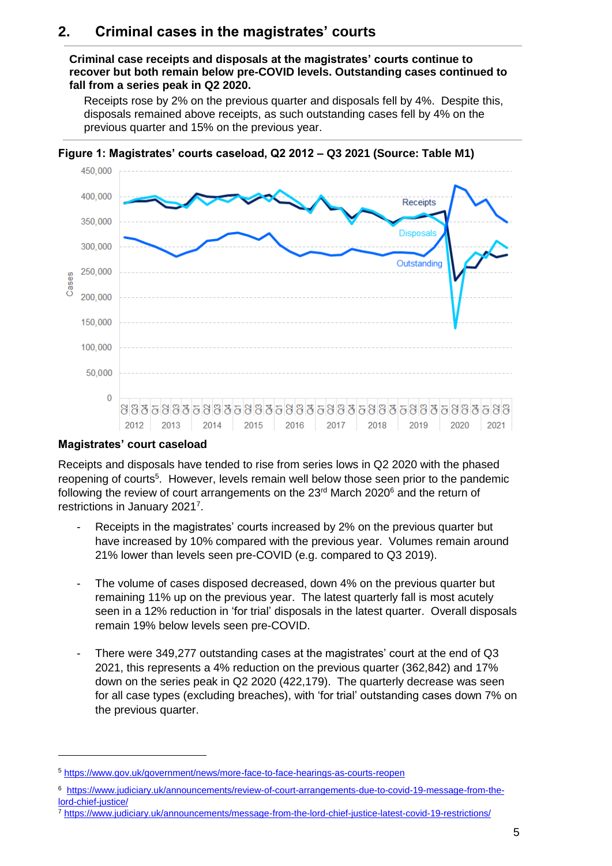# <span id="page-4-0"></span>**2. Criminal cases in the magistrates' courts**

#### **Criminal case receipts and disposals at the magistrates' courts continue to recover but both remain below pre-COVID levels. Outstanding cases continued to fall from a series peak in Q2 2020.**

Receipts rose by 2% on the previous quarter and disposals fell by 4%. Despite this, disposals remained above receipts, as such outstanding cases fell by 4% on the previous quarter and 15% on the previous year.



**Figure 1: Magistrates' courts caseload, Q2 2012 – Q3 2021 (Source: Table M1)**

# **Magistrates' court caseload**

-

Receipts and disposals have tended to rise from series lows in Q2 2020 with the phased reopening of courts<sup>5</sup>. However, levels remain well below those seen prior to the pandemic following the review of court arrangements on the 23<sup>rd</sup> March 2020<sup>6</sup> and the return of restrictions in January 2021<sup>7</sup>.

- Receipts in the magistrates' courts increased by 2% on the previous quarter but have increased by 10% compared with the previous year. Volumes remain around 21% lower than levels seen pre-COVID (e.g. compared to Q3 2019).
- The volume of cases disposed decreased, down 4% on the previous quarter but remaining 11% up on the previous year. The latest quarterly fall is most acutely seen in a 12% reduction in 'for trial' disposals in the latest quarter. Overall disposals remain 19% below levels seen pre-COVID.
- There were 349,277 outstanding cases at the magistrates' court at the end of Q3 2021, this represents a 4% reduction on the previous quarter (362,842) and 17% down on the series peak in Q2 2020 (422,179). The quarterly decrease was seen for all case types (excluding breaches), with 'for trial' outstanding cases down 7% on the previous quarter.

<sup>5</sup> <https://www.gov.uk/government/news/more-face-to-face-hearings-as-courts-reopen>

<sup>6</sup> [https://www.judiciary.uk/announcements/review-of-court-arrangements-due-to-covid-19-message-from-the](https://www.judiciary.uk/announcements/review-of-court-arrangements-due-to-covid-19-message-from-the-lord-chief-justice/)[lord-chief-justice/](https://www.judiciary.uk/announcements/review-of-court-arrangements-due-to-covid-19-message-from-the-lord-chief-justice/)

<sup>7</sup> <https://www.judiciary.uk/announcements/message-from-the-lord-chief-justice-latest-covid-19-restrictions/>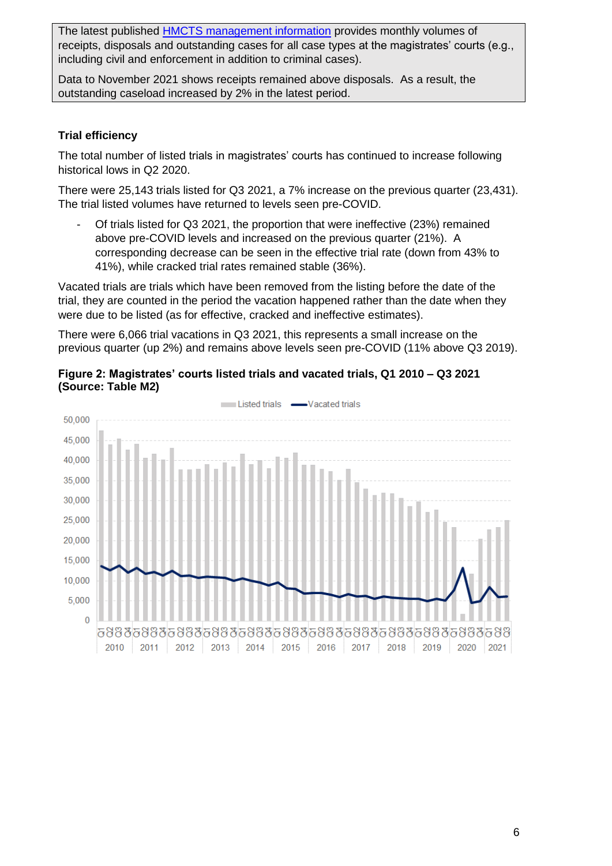The latest published [HMCTS management information](https://www.gov.uk/government/collections/hmcts-management-information) provides monthly volumes of receipts, disposals and outstanding cases for all case types at the magistrates' courts (e.g., including civil and enforcement in addition to criminal cases).

Data to November 2021 shows receipts remained above disposals. As a result, the outstanding caseload increased by 2% in the latest period.

# **Trial efficiency**

The total number of listed trials in magistrates' courts has continued to increase following historical lows in Q2 2020.

There were 25,143 trials listed for Q3 2021, a 7% increase on the previous quarter (23,431). The trial listed volumes have returned to levels seen pre-COVID.

- Of trials listed for Q3 2021, the proportion that were ineffective (23%) remained above pre-COVID levels and increased on the previous quarter (21%). A corresponding decrease can be seen in the effective trial rate (down from 43% to 41%), while cracked trial rates remained stable (36%).

Vacated trials are trials which have been removed from the listing before the date of the trial, they are counted in the period the vacation happened rather than the date when they were due to be listed (as for effective, cracked and ineffective estimates).

There were 6,066 trial vacations in Q3 2021, this represents a small increase on the previous quarter (up 2%) and remains above levels seen pre-COVID (11% above Q3 2019).



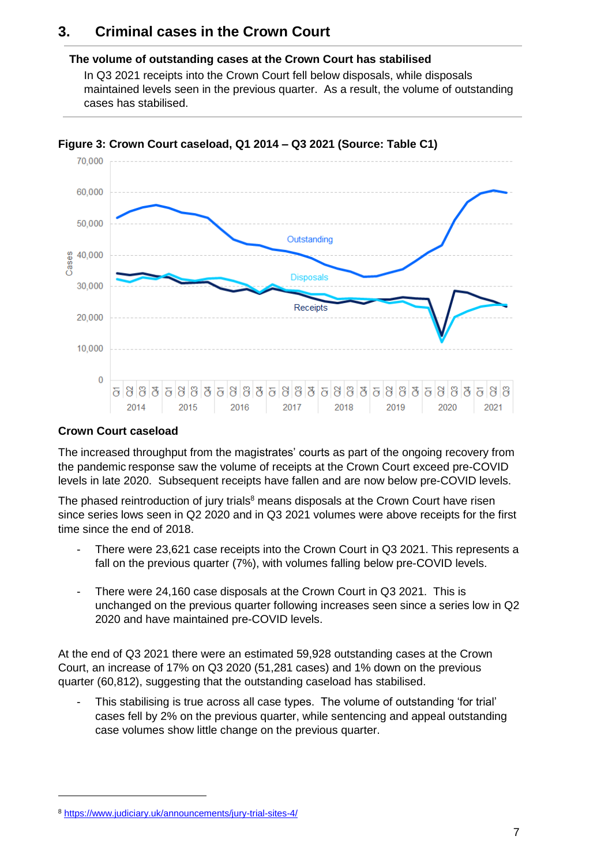# <span id="page-6-0"></span>**3. Criminal cases in the Crown Court**

#### **The volume of outstanding cases at the Crown Court has stabilised**

In Q3 2021 receipts into the Crown Court fell below disposals, while disposals maintained levels seen in the previous quarter. As a result, the volume of outstanding cases has stabilised.



#### **Figure 3: Crown Court caseload, Q1 2014 – Q3 2021 (Source: Table C1)**

#### **Crown Court caseload**

The increased throughput from the magistrates' courts as part of the ongoing recovery from the pandemic response saw the volume of receipts at the Crown Court exceed pre-COVID levels in late 2020. Subsequent receipts have fallen and are now below pre-COVID levels.

The phased reintroduction of jury trials<sup>8</sup> means disposals at the Crown Court have risen since series lows seen in Q2 2020 and in Q3 2021 volumes were above receipts for the first time since the end of 2018.

- There were 23,621 case receipts into the Crown Court in Q3 2021. This represents a fall on the previous quarter (7%), with volumes falling below pre-COVID levels.
- There were 24,160 case disposals at the Crown Court in Q3 2021. This is unchanged on the previous quarter following increases seen since a series low in Q2 2020 and have maintained pre-COVID levels.

At the end of Q3 2021 there were an estimated 59,928 outstanding cases at the Crown Court, an increase of 17% on Q3 2020 (51,281 cases) and 1% down on the previous quarter (60,812), suggesting that the outstanding caseload has stabilised.

This stabilising is true across all case types. The volume of outstanding 'for trial' cases fell by 2% on the previous quarter, while sentencing and appeal outstanding case volumes show little change on the previous quarter.

-

<sup>8</sup> <https://www.judiciary.uk/announcements/jury-trial-sites-4/>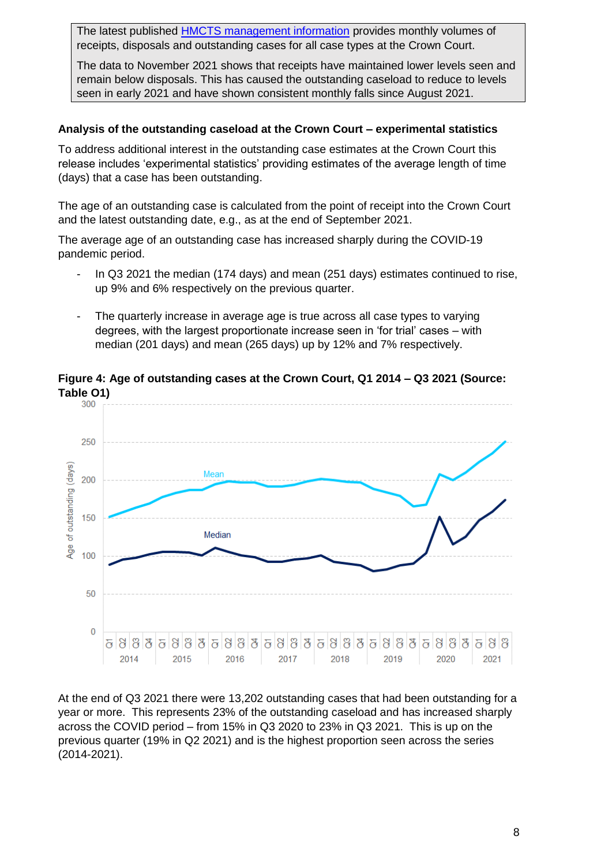The latest published [HMCTS management information](https://www.gov.uk/government/collections/hmcts-management-information) provides monthly volumes of receipts, disposals and outstanding cases for all case types at the Crown Court.

The data to November 2021 shows that receipts have maintained lower levels seen and remain below disposals. This has caused the outstanding caseload to reduce to levels seen in early 2021 and have shown consistent monthly falls since August 2021.

#### **Analysis of the outstanding caseload at the Crown Court – experimental statistics**

To address additional interest in the outstanding case estimates at the Crown Court this release includes 'experimental statistics' providing estimates of the average length of time (days) that a case has been outstanding.

The age of an outstanding case is calculated from the point of receipt into the Crown Court and the latest outstanding date, e.g., as at the end of September 2021.

The average age of an outstanding case has increased sharply during the COVID-19 pandemic period.

- In Q3 2021 the median (174 days) and mean (251 days) estimates continued to rise, up 9% and 6% respectively on the previous quarter.
- The quarterly increase in average age is true across all case types to varying degrees, with the largest proportionate increase seen in 'for trial' cases – with median (201 days) and mean (265 days) up by 12% and 7% respectively.



**Figure 4: Age of outstanding cases at the Crown Court, Q1 2014 – Q3 2021 (Source:** 

At the end of Q3 2021 there were 13,202 outstanding cases that had been outstanding for a year or more. This represents 23% of the outstanding caseload and has increased sharply across the COVID period – from 15% in Q3 2020 to 23% in Q3 2021. This is up on the previous quarter (19% in Q2 2021) and is the highest proportion seen across the series (2014-2021).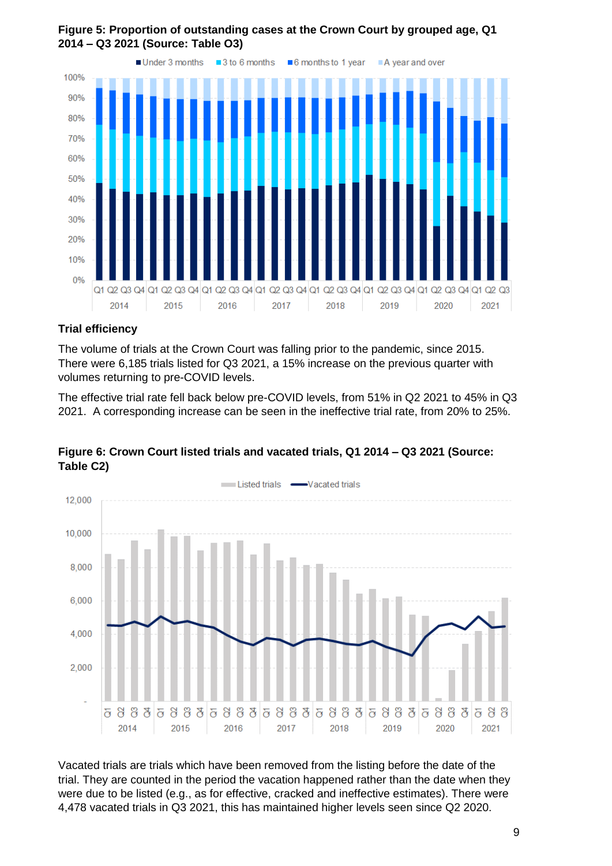

#### **Figure 5: Proportion of outstanding cases at the Crown Court by grouped age, Q1 2014 – Q3 2021 (Source: Table O3)**

#### **Trial efficiency**

The volume of trials at the Crown Court was falling prior to the pandemic, since 2015. There were 6,185 trials listed for Q3 2021, a 15% increase on the previous quarter with volumes returning to pre-COVID levels.

The effective trial rate fell back below pre-COVID levels, from 51% in Q2 2021 to 45% in Q3 2021. A corresponding increase can be seen in the ineffective trial rate, from 20% to 25%.



#### **Figure 6: Crown Court listed trials and vacated trials, Q1 2014 – Q3 2021 (Source: Table C2)**

Vacated trials are trials which have been removed from the listing before the date of the trial. They are counted in the period the vacation happened rather than the date when they were due to be listed (e.g., as for effective, cracked and ineffective estimates). There were 4,478 vacated trials in Q3 2021, this has maintained higher levels seen since Q2 2020.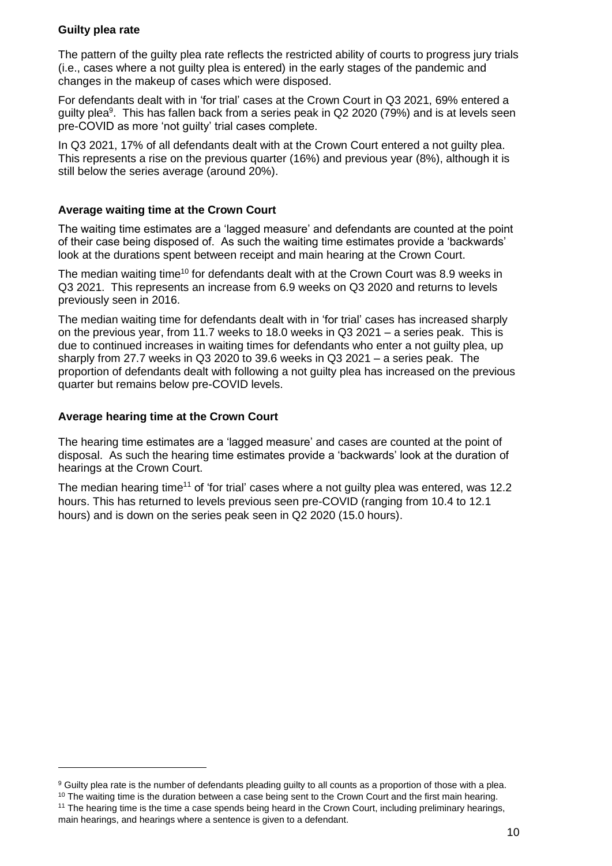#### **Guilty plea rate**

The pattern of the guilty plea rate reflects the restricted ability of courts to progress jury trials (i.e., cases where a not guilty plea is entered) in the early stages of the pandemic and changes in the makeup of cases which were disposed.

For defendants dealt with in 'for trial' cases at the Crown Court in Q3 2021, 69% entered a guilty plea<sup>9</sup>. This has fallen back from a series peak in Q2 2020 (79%) and is at levels seen pre-COVID as more 'not guilty' trial cases complete.

In Q3 2021, 17% of all defendants dealt with at the Crown Court entered a not guilty plea. This represents a rise on the previous quarter (16%) and previous year (8%), although it is still below the series average (around 20%).

#### **Average waiting time at the Crown Court**

The waiting time estimates are a 'lagged measure' and defendants are counted at the point of their case being disposed of. As such the waiting time estimates provide a 'backwards' look at the durations spent between receipt and main hearing at the Crown Court.

The median waiting time<sup>10</sup> for defendants dealt with at the Crown Court was 8.9 weeks in Q3 2021. This represents an increase from 6.9 weeks on Q3 2020 and returns to levels previously seen in 2016.

The median waiting time for defendants dealt with in 'for trial' cases has increased sharply on the previous year, from 11.7 weeks to 18.0 weeks in Q3 2021 – a series peak. This is due to continued increases in waiting times for defendants who enter a not guilty plea, up sharply from 27.7 weeks in Q3 2020 to 39.6 weeks in Q3 2021 – a series peak. The proportion of defendants dealt with following a not guilty plea has increased on the previous quarter but remains below pre-COVID levels.

#### **Average hearing time at the Crown Court**

The hearing time estimates are a 'lagged measure' and cases are counted at the point of disposal. As such the hearing time estimates provide a 'backwards' look at the duration of hearings at the Crown Court.

The median hearing time<sup>11</sup> of 'for trial' cases where a not guilty plea was entered, was 12.2 hours. This has returned to levels previous seen pre-COVID (ranging from 10.4 to 12.1 hours) and is down on the series peak seen in Q2 2020 (15.0 hours).

-

<sup>&</sup>lt;sup>9</sup> Guilty plea rate is the number of defendants pleading guilty to all counts as a proportion of those with a plea.

<sup>&</sup>lt;sup>10</sup> The waiting time is the duration between a case being sent to the Crown Court and the first main hearing. <sup>11</sup> The hearing time is the time a case spends being heard in the Crown Court, including preliminary hearings,

main hearings, and hearings where a sentence is given to a defendant.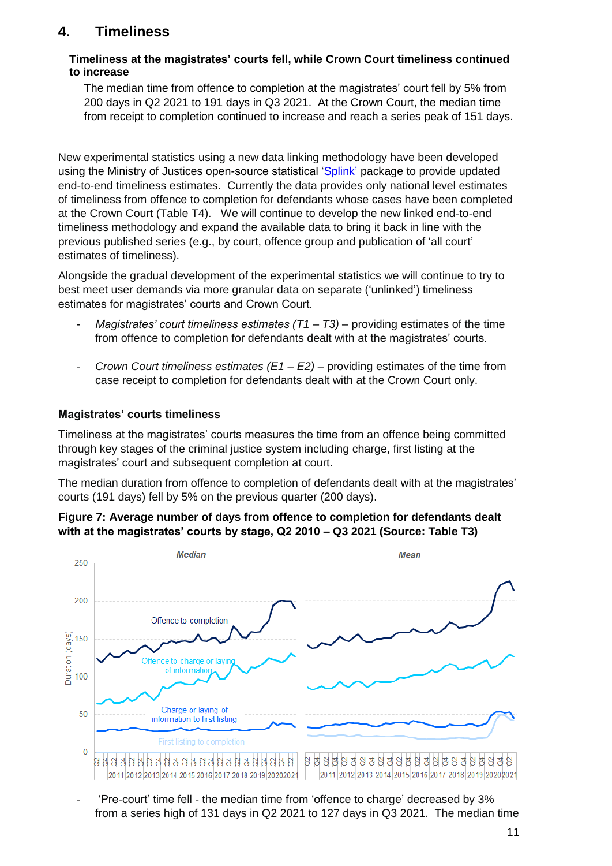# <span id="page-10-0"></span>**4. Timeliness**

#### **Timeliness at the magistrates' courts fell, while Crown Court timeliness continued to increase**

The median time from offence to completion at the magistrates' court fell by 5% from 200 days in Q2 2021 to 191 days in Q3 2021. At the Crown Court, the median time from receipt to completion continued to increase and reach a series peak of 151 days.

New experimental statistics using a new data linking methodology have been developed using the Ministry of Justices open-source statistical ['Splink'](https://www.gov.uk/government/publications/joined-up-data-in-government-the-future-of-data-linking-methods/splink-mojs-open-source-library-for-probabilistic-record-linkage-at-scale) package to provide updated end-to-end timeliness estimates. Currently the data provides only national level estimates of timeliness from offence to completion for defendants whose cases have been completed at the Crown Court (Table T4). We will continue to develop the new linked end-to-end timeliness methodology and expand the available data to bring it back in line with the previous published series (e.g., by court, offence group and publication of 'all court' estimates of timeliness).

Alongside the gradual development of the experimental statistics we will continue to try to best meet user demands via more granular data on separate ('unlinked') timeliness estimates for magistrates' courts and Crown Court.

- *Magistrates' court timeliness estimates (T1 – T3)* providing estimates of the time from offence to completion for defendants dealt with at the magistrates' courts.
- *Crown Court timeliness estimates (E1 – E2)* providing estimates of the time from case receipt to completion for defendants dealt with at the Crown Court only.

#### **Magistrates' courts timeliness**

Timeliness at the magistrates' courts measures the time from an offence being committed through key stages of the criminal justice system including charge, first listing at the magistrates' court and subsequent completion at court.

The median duration from offence to completion of defendants dealt with at the magistrates' courts (191 days) fell by 5% on the previous quarter (200 days).





- 'Pre-court' time fell - the median time from 'offence to charge' decreased by 3% from a series high of 131 days in Q2 2021 to 127 days in Q3 2021. The median time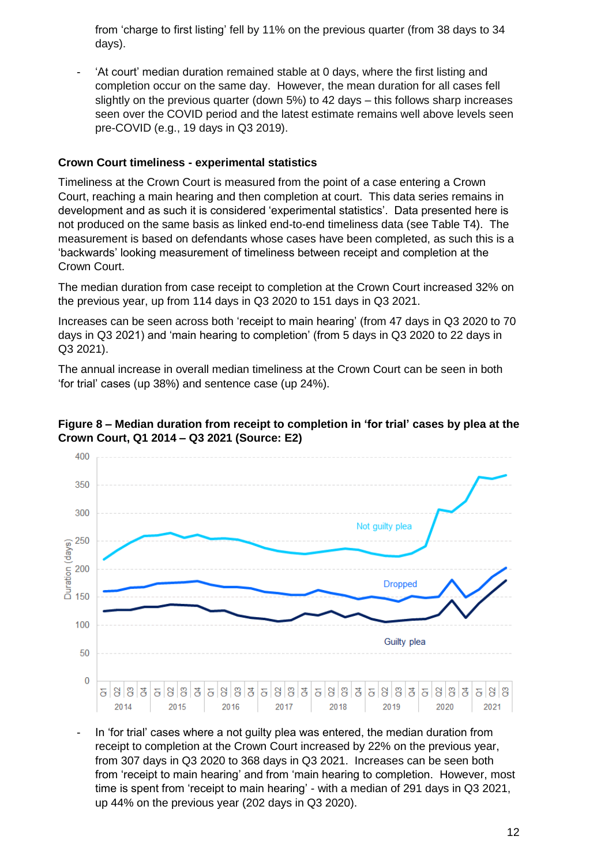from 'charge to first listing' fell by 11% on the previous quarter (from 38 days to 34 days).

- 'At court' median duration remained stable at 0 days, where the first listing and completion occur on the same day. However, the mean duration for all cases fell slightly on the previous quarter (down 5%) to 42 days – this follows sharp increases seen over the COVID period and the latest estimate remains well above levels seen pre-COVID (e.g., 19 days in Q3 2019).

#### **Crown Court timeliness - experimental statistics**

Timeliness at the Crown Court is measured from the point of a case entering a Crown Court, reaching a main hearing and then completion at court. This data series remains in development and as such it is considered 'experimental statistics'. Data presented here is not produced on the same basis as linked end-to-end timeliness data (see Table T4). The measurement is based on defendants whose cases have been completed, as such this is a 'backwards' looking measurement of timeliness between receipt and completion at the Crown Court.

The median duration from case receipt to completion at the Crown Court increased 32% on the previous year, up from 114 days in Q3 2020 to 151 days in Q3 2021.

Increases can be seen across both 'receipt to main hearing' (from 47 days in Q3 2020 to 70 days in Q3 2021) and 'main hearing to completion' (from 5 days in Q3 2020 to 22 days in Q3 2021).

The annual increase in overall median timeliness at the Crown Court can be seen in both 'for trial' cases (up 38%) and sentence case (up 24%).



#### **Figure 8 – Median duration from receipt to completion in 'for trial' cases by plea at the Crown Court, Q1 2014 – Q3 2021 (Source: E2)**

- In 'for trial' cases where a not guilty plea was entered, the median duration from receipt to completion at the Crown Court increased by 22% on the previous year, from 307 days in Q3 2020 to 368 days in Q3 2021. Increases can be seen both from 'receipt to main hearing' and from 'main hearing to completion. However, most time is spent from 'receipt to main hearing' - with a median of 291 days in Q3 2021, up 44% on the previous year (202 days in Q3 2020).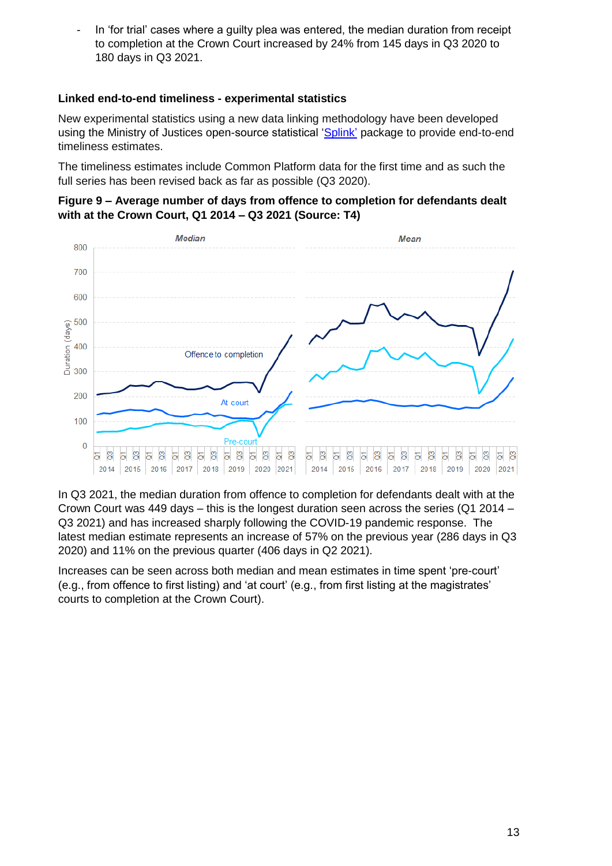In 'for trial' cases where a guilty plea was entered, the median duration from receipt to completion at the Crown Court increased by 24% from 145 days in Q3 2020 to 180 days in Q3 2021.

# **Linked end-to-end timeliness - experimental statistics**

New experimental statistics using a new data linking methodology have been developed using the Ministry of Justices open-source statistical ['Splink'](https://www.gov.uk/government/publications/joined-up-data-in-government-the-future-of-data-linking-methods/splink-mojs-open-source-library-for-probabilistic-record-linkage-at-scale) package to provide end-to-end timeliness estimates.

The timeliness estimates include Common Platform data for the first time and as such the full series has been revised back as far as possible (Q3 2020).

#### **Figure 9 – Average number of days from offence to completion for defendants dealt with at the Crown Court, Q1 2014 – Q3 2021 (Source: T4)**



In Q3 2021, the median duration from offence to completion for defendants dealt with at the Crown Court was 449 days – this is the longest duration seen across the series (Q1 2014 – Q3 2021) and has increased sharply following the COVID-19 pandemic response. The latest median estimate represents an increase of 57% on the previous year (286 days in Q3 2020) and 11% on the previous quarter (406 days in Q2 2021).

Increases can be seen across both median and mean estimates in time spent 'pre-court' (e.g., from offence to first listing) and 'at court' (e.g., from first listing at the magistrates' courts to completion at the Crown Court).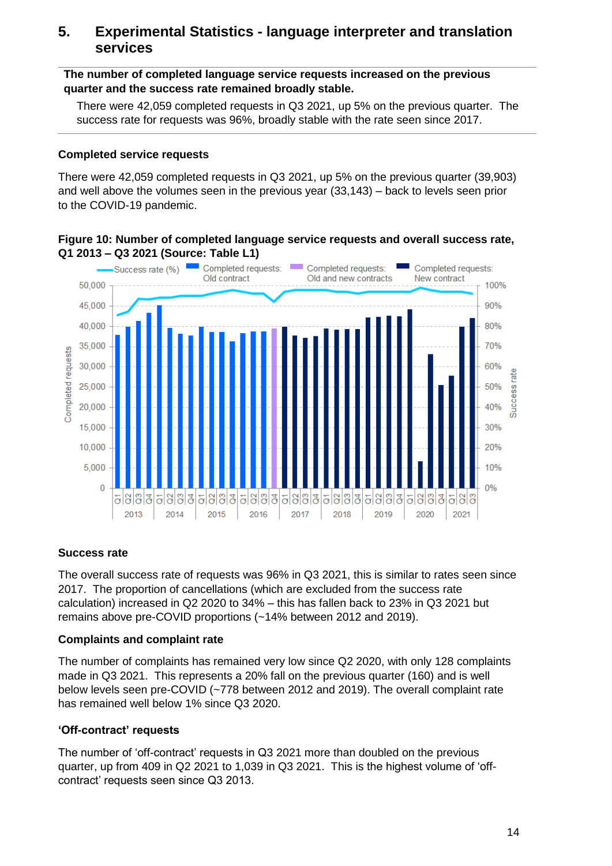# <span id="page-13-0"></span>**5. Experimental Statistics - language interpreter and translation services**

**The number of completed language service requests increased on the previous quarter and the success rate remained broadly stable.**

There were 42,059 completed requests in Q3 2021, up 5% on the previous quarter. The success rate for requests was 96%, broadly stable with the rate seen since 2017.

#### **Completed service requests**

There were 42,059 completed requests in Q3 2021, up 5% on the previous quarter (39,903) and well above the volumes seen in the previous year (33,143) – back to levels seen prior to the COVID-19 pandemic.

#### **Figure 10: Number of completed language service requests and overall success rate, Q1 2013 – Q3 2021 (Source: Table L1)**



# **Success rate**

The overall success rate of requests was 96% in Q3 2021, this is similar to rates seen since 2017. The proportion of cancellations (which are excluded from the success rate calculation) increased in Q2 2020 to 34% – this has fallen back to 23% in Q3 2021 but remains above pre-COVID proportions (~14% between 2012 and 2019).

#### **Complaints and complaint rate**

The number of complaints has remained very low since Q2 2020, with only 128 complaints made in Q3 2021. This represents a 20% fall on the previous quarter (160) and is well below levels seen pre-COVID (~778 between 2012 and 2019). The overall complaint rate has remained well below 1% since Q3 2020.

#### **'Off-contract' requests**

The number of 'off-contract' requests in Q3 2021 more than doubled on the previous quarter, up from 409 in Q2 2021 to 1,039 in Q3 2021. This is the highest volume of 'offcontract' requests seen since Q3 2013.